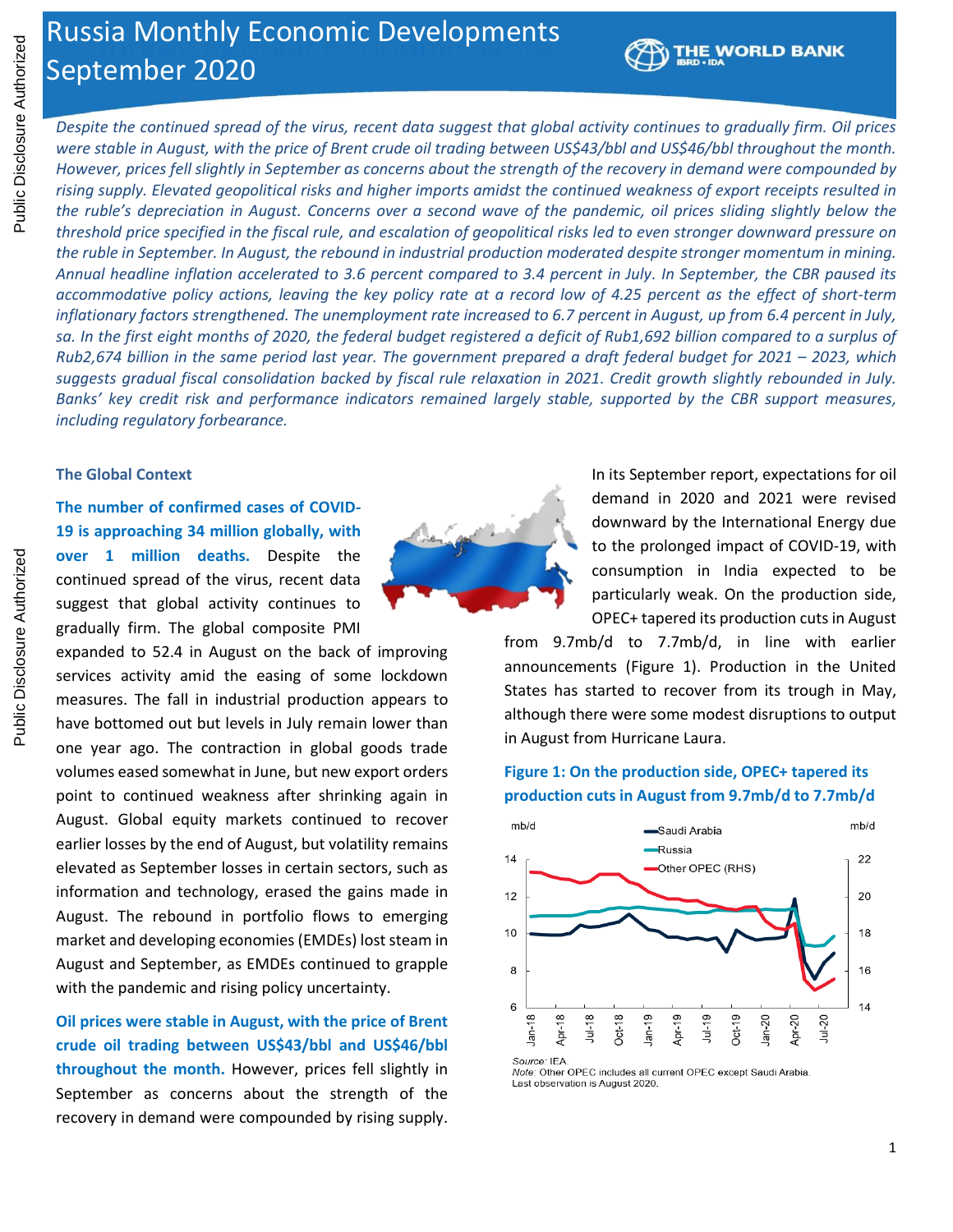# Russia Monthly Economic Developments September 2020



*Despite the continued spread of the virus, recent data suggest that global activity continues to gradually firm. Oil prices were stable in August, with the price of Brent crude oil trading between US\$43/bbl and US\$46/bbl throughout the month. However, prices fell slightly in September as concerns about the strength of the recovery in demand were compounded by rising supply. Elevated geopolitical risks and higher imports amidst the continued weakness of export receipts resulted in the ruble's depreciation in August. Concerns over a second wave of the pandemic, oil prices sliding slightly below the threshold price specified in the fiscal rule, and escalation of geopolitical risks led to even stronger downward pressure on the ruble in September. In August, the rebound in industrial production moderated despite stronger momentum in mining. Annual headline inflation accelerated to 3.6 percent compared to 3.4 percent in July. In September, the CBR paused its accommodative policy actions, leaving the key policy rate at a record low of 4.25 percent as the effect of short-term inflationary factors strengthened. The unemployment rate increased to 6.7 percent in August, up from 6.4 percent in July,*  sa. In the first eight months of 2020, the federal budget registered a deficit of Rub1,692 billion compared to a surplus of *Rub2,674 billion in the same period last year. The government prepared a draft federal budget for 2021 – 2023, which suggests gradual fiscal consolidation backed by fiscal rule relaxation in 2021. Credit growth slightly rebounded in July. Banks' key credit risk and performance indicators remained largely stable, supported by the CBR support measures, including regulatory forbearance.*

#### **The Global Context**

**The number of confirmed cases of COVID-19 is approaching 34 million globally, with over 1 million deaths.** Despite the continued spread of the virus, recent data suggest that global activity continues to gradually firm. The global composite PMI

expanded to 52.4 in August on the back of improving services activity amid the easing of some lockdown measures. The fall in industrial production appears to have bottomed out but levels in July remain lower than one year ago. The contraction in global goods trade volumes eased somewhat in June, but new export orders point to continued weakness after shrinking again in August. Global equity markets continued to recover earlier losses by the end of August, but volatility remains elevated as September losses in certain sectors, such as information and technology, erased the gains made in August. The rebound in portfolio flows to emerging market and developing economies (EMDEs) lost steam in August and September, as EMDEs continued to grapple with the pandemic and rising policy uncertainty.

**Oil prices were stable in August, with the price of Brent crude oil trading between US\$43/bbl and US\$46/bbl throughout the month.** However, prices fell slightly in September as concerns about the strength of the recovery in demand were compounded by rising supply.



In its September report, expectations for oil demand in 2020 and 2021 were revised downward by the International Energy due to the prolonged impact of COVID-19, with consumption in India expected to be particularly weak. On the production side, OPEC+ tapered its production cuts in August

from 9.7mb/d to 7.7mb/d, in line with earlier announcements (Figure 1). Production in the United States has started to recover from its trough in May, although there were some modest disruptions to output in August from Hurricane Laura.

# **Figure 1: On the production side, OPEC+ tapered its production cuts in August from 9.7mb/d to 7.7mb/d**



Note: Other OPEC includes all current OPEC except Saudi Arabia Last observation is August 2020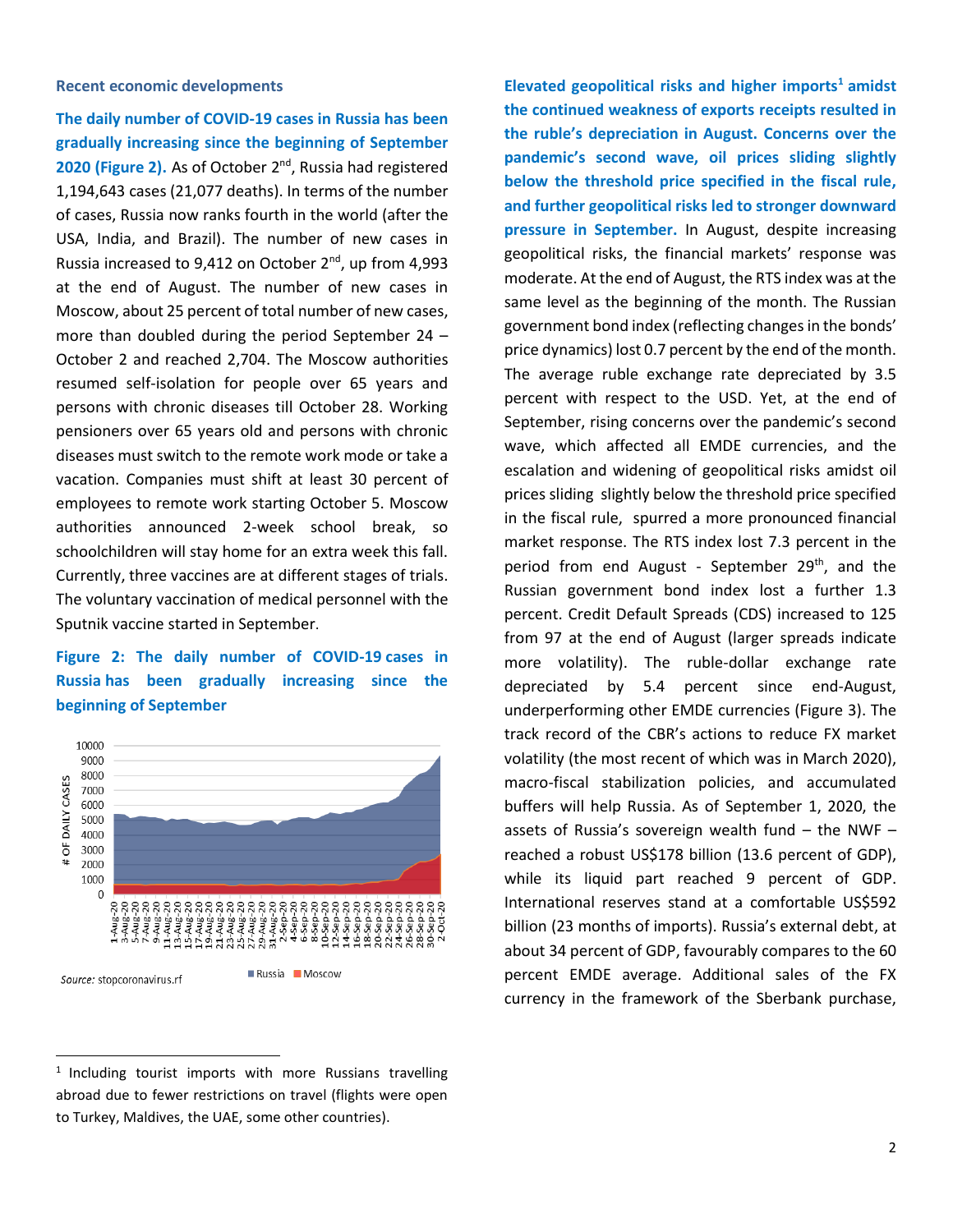#### **Recent economic developments**

**The daily number of COVID-19 cases in Russia has been gradually increasing since the beginning of September** 2020 (Figure 2). As of October 2<sup>nd</sup>, Russia had registered 1,194,643 cases (21,077 deaths). In terms of the number of cases, Russia now ranks fourth in the world (after the USA, India, and Brazil). The number of new cases in Russia increased to 9,412 on October  $2^{nd}$ , up from 4,993 at the end of August. The number of new cases in Moscow, about 25 percent of total number of new cases, more than doubled during the period September 24 – October 2 and reached 2,704. The Moscow authorities resumed self-isolation for people over 65 years and persons with chronic diseases till October 28. Working pensioners over 65 years old and persons with chronic diseases must switch to the remote work mode or take a vacation. Companies must shift at least 30 percent of employees to remote work starting October 5. Moscow authorities announced 2-week school break, so schoolchildren will stay home for an extra week this fall. Currently, three vaccines are at different stages of trials. The voluntary vaccination of medical personnel with the Sputnik vaccine started in September.

# **Figure 2: The daily number of COVID-19 cases in Russia has been gradually increasing since the beginning of September**



<sup>1</sup> Including tourist imports with more Russians travelling abroad due to fewer restrictions on travel (flights were open to Turkey, Maldives, the UAE, some other countries).

**Elevated geopolitical risks and higher imports<sup>1</sup> amidst the continued weakness of exports receipts resulted in the ruble's depreciation in August. Concerns over the pandemic's second wave, oil prices sliding slightly below the threshold price specified in the fiscal rule, and further geopolitical risks led to stronger downward pressure in September.** In August, despite increasing geopolitical risks, the financial markets' response was moderate. At the end of August, the RTS index was at the same level as the beginning of the month. The Russian government bond index (reflecting changes in the bonds' price dynamics) lost 0.7 percent by the end of the month. The average ruble exchange rate depreciated by 3.5 percent with respect to the USD. Yet, at the end of September, rising concerns over the pandemic's second wave, which affected all EMDE currencies, and the escalation and widening of geopolitical risks amidst oil prices sliding slightly below the threshold price specified in the fiscal rule, spurred a more pronounced financial market response. The RTS index lost 7.3 percent in the period from end August - September 29<sup>th</sup>, and the Russian government bond index lost a further 1.3 percent. Credit Default Spreads (CDS) increased to 125 from 97 at the end of August (larger spreads indicate more volatility). The ruble-dollar exchange rate depreciated by 5.4 percent since end-August, underperforming other EMDE currencies (Figure 3). The track record of the CBR's actions to reduce FX market volatility (the most recent of which was in March 2020), macro-fiscal stabilization policies, and accumulated buffers will help Russia. As of September 1, 2020, the assets of Russia's sovereign wealth fund  $-$  the NWF  $$ reached a robust US\$178 billion (13.6 percent of GDP), while its liquid part reached 9 percent of GDP. International reserves stand at a comfortable US\$592 billion (23 months of imports). Russia's external debt, at about 34 percent of GDP, favourably compares to the 60 percent EMDE average. Additional sales of the FX currency in the framework of the Sberbank purchase,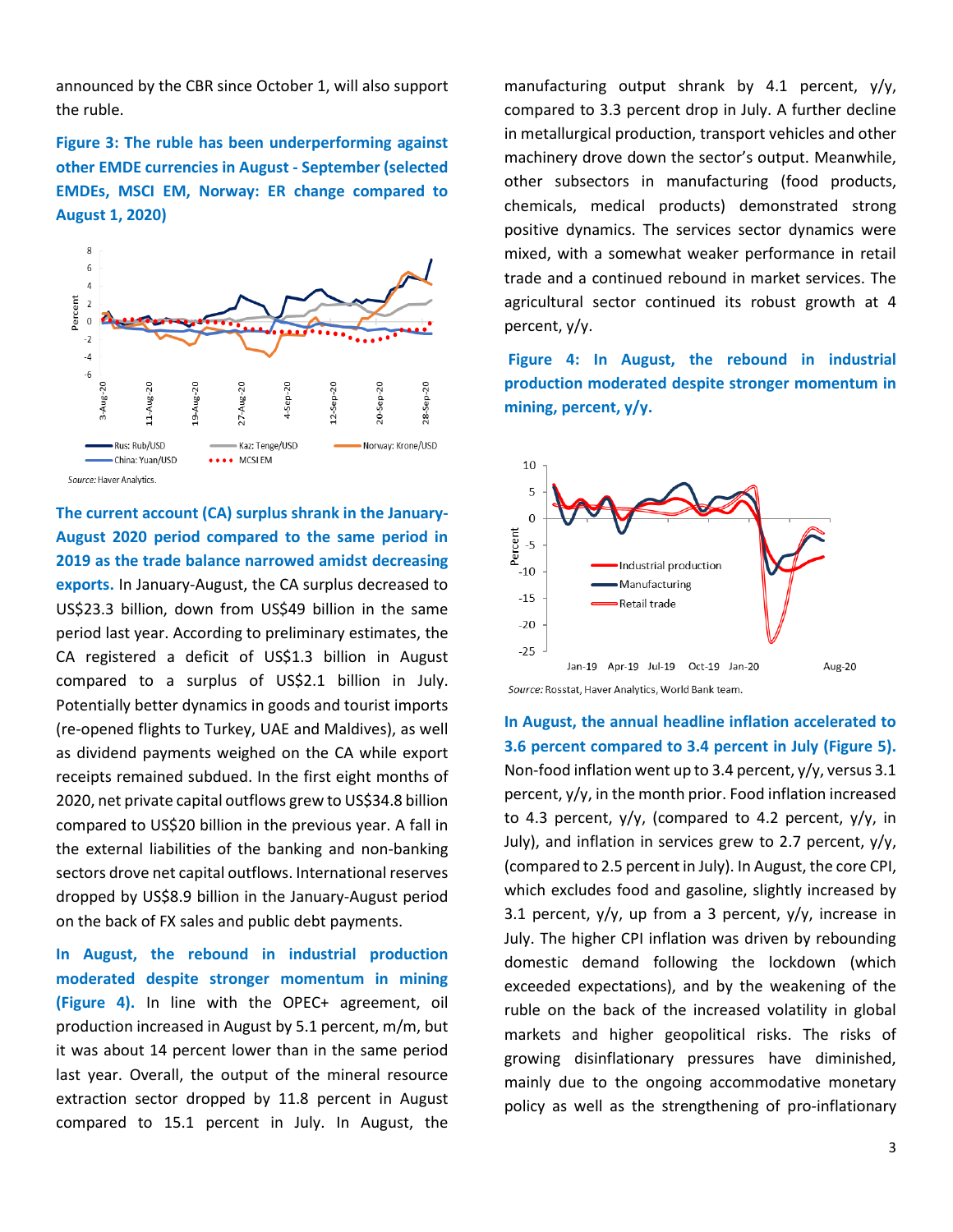announced by the CBR since October 1, will also support the ruble.

**Figure 3: The ruble has been underperforming against other EMDE currencies in August - September (selected EMDEs, MSCI EM, Norway: ER change compared to August 1, 2020)**



**The current account (CA) surplus shrank in the January-August 2020 period compared to the same period in 2019 as the trade balance narrowed amidst decreasing exports.** In January-August, the CA surplus decreased to US\$23.3 billion, down from US\$49 billion in the same period last year. According to preliminary estimates, the CA registered a deficit of US\$1.3 billion in August compared to a surplus of US\$2.1 billion in July. Potentially better dynamics in goods and tourist imports (re-opened flights to Turkey, UAE and Maldives), as well as dividend payments weighed on the CA while export receipts remained subdued. In the first eight months of 2020, net private capital outflows grew to US\$34.8 billion compared to US\$20 billion in the previous year. A fall in the external liabilities of the banking and non-banking sectors drove net capital outflows. International reserves dropped by US\$8.9 billion in the January-August period on the back of FX sales and public debt payments.

**In August, the rebound in industrial production moderated despite stronger momentum in mining (Figure 4).** In line with the OPEC+ agreement, oil production increased in August by 5.1 percent, m/m, but it was about 14 percent lower than in the same period last year. Overall, the output of the mineral resource extraction sector dropped by 11.8 percent in August compared to 15.1 percent in July. In August, the

manufacturing output shrank by 4.1 percent, y/y, compared to 3.3 percent drop in July. A further decline in metallurgical production, transport vehicles and other machinery drove down the sector's output. Meanwhile, other subsectors in manufacturing (food products, chemicals, medical products) demonstrated strong positive dynamics. The services sector dynamics were mixed, with a somewhat weaker performance in retail trade and a continued rebound in market services. The agricultural sector continued its robust growth at 4 percent, y/y.

**Figure 4: In August, the rebound in industrial production moderated despite stronger momentum in mining, percent, y/y.**



**In August, the annual headline inflation accelerated to 3.6 percent compared to 3.4 percent in July (Figure 5).** Non-food inflation went up to 3.4 percent, y/y, versus 3.1 percent, y/y, in the month prior. Food inflation increased to 4.3 percent,  $y/y$ , (compared to 4.2 percent,  $y/y$ , in July), and inflation in services grew to 2.7 percent, y/y, (compared to 2.5 percent in July). In August, the core CPI, which excludes food and gasoline, slightly increased by 3.1 percent,  $y/y$ , up from a 3 percent,  $y/y$ , increase in July. The higher CPI inflation was driven by rebounding domestic demand following the lockdown (which exceeded expectations), and by the weakening of the ruble on the back of the increased volatility in global markets and higher geopolitical risks. The risks of growing disinflationary pressures have diminished, mainly due to the ongoing accommodative monetary policy as well as the strengthening of pro-inflationary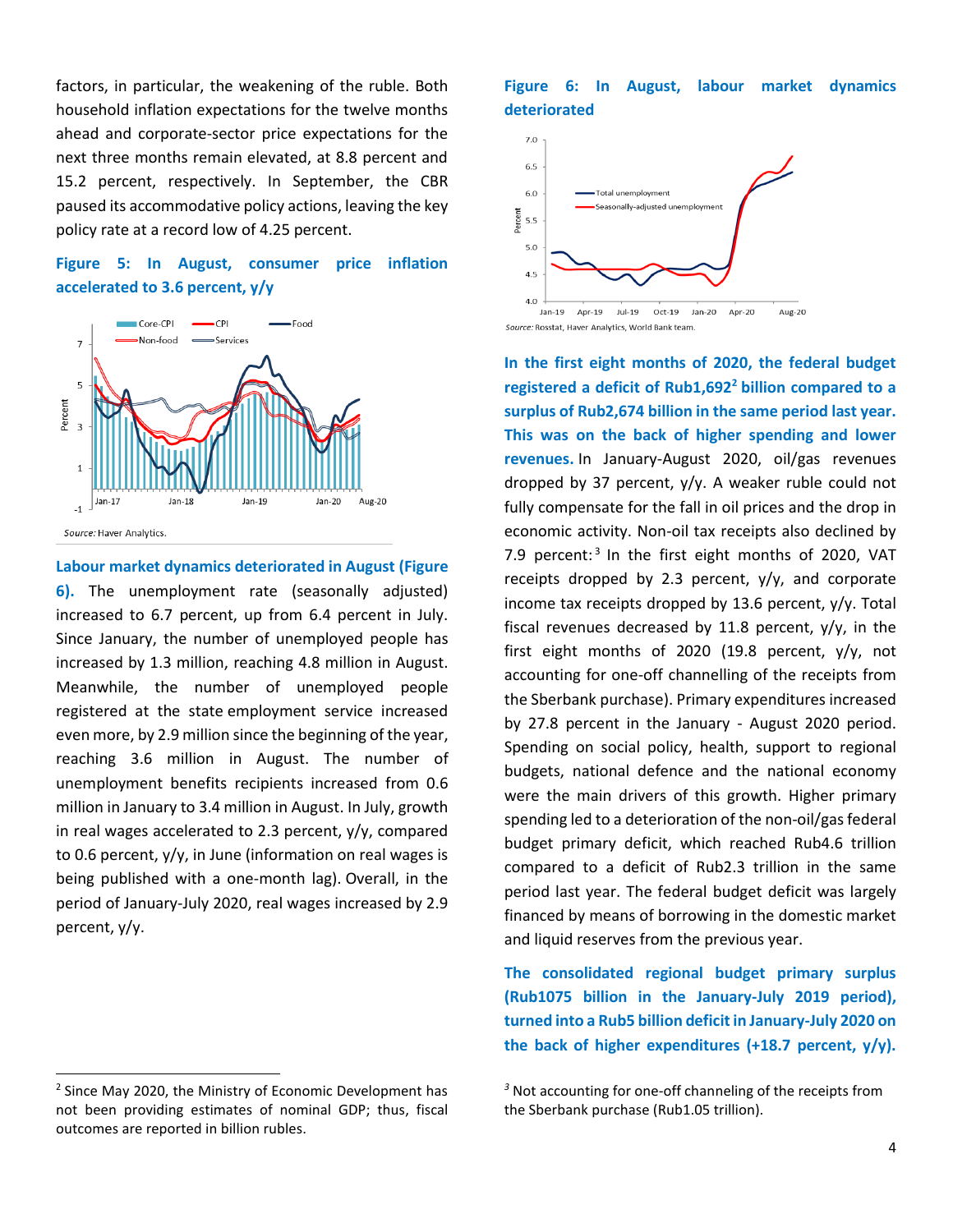factors, in particular, the weakening of the ruble. Both household inflation expectations for the twelve months ahead and corporate-sector price expectations for the next three months remain elevated, at 8.8 percent and 15.2 percent, respectively. In September, the CBR paused its accommodative policy actions, leaving the key policy rate at a record low of 4.25 percent.

# **Figure 5: In August, consumer price inflation accelerated to 3.6 percent, y/y**



**Labour market dynamics deteriorated in August (Figure** 

**6).** The unemployment rate (seasonally adjusted) increased to 6.7 percent, up from 6.4 percent in July. Since January, the number of unemployed people has increased by 1.3 million, reaching 4.8 million in August. Meanwhile, the number of unemployed people registered at the state employment service increased even more, by 2.9 million since the beginning of the year, reaching 3.6 million in August. The number of unemployment benefits recipients increased from 0.6 million in January to 3.4 million in August. In July, growth in real wages accelerated to 2.3 percent, y/y, compared to 0.6 percent, y/y, in June (information on real wages is being published with a one-month lag). Overall, in the period of January-July 2020, real wages increased by 2.9 percent, y/y.

<sup>2</sup> Since May 2020, the Ministry of Economic Development has not been providing estimates of nominal GDP; thus, fiscal outcomes are reported in billion rubles.

### **Figure 6: In August, labour market dynamics deteriorated**



**In the first eight months of 2020, the federal budget registered a deficit of Rub1,692<sup>2</sup> billion compared to a surplus of Rub2,674 billion in the same period last year. This was on the back of higher spending and lower revenues.** In January-August 2020, oil/gas revenues dropped by 37 percent, y/y. A weaker ruble could not fully compensate for the fall in oil prices and the drop in economic activity. Non-oil tax receipts also declined by 7.9 percent:<sup>3</sup> In the first eight months of 2020, VAT receipts dropped by 2.3 percent, y/y, and corporate income tax receipts dropped by 13.6 percent, y/y. Total fiscal revenues decreased by 11.8 percent,  $y/y$ , in the first eight months of 2020 (19.8 percent,  $y/y$ , not accounting for one-off channelling of the receipts from the Sberbank purchase). Primary expenditures increased by 27.8 percent in the January - August 2020 period. Spending on social policy, health, support to regional budgets, national defence and the national economy were the main drivers of this growth. Higher primary spending led to a deterioration of the non-oil/gas federal budget primary deficit, which reached Rub4.6 trillion compared to a deficit of Rub2.3 trillion in the same period last year. The federal budget deficit was largely financed by means of borrowing in the domestic market and liquid reserves from the previous year.

**The consolidated regional budget primary surplus (Rub1075 billion in the January-July 2019 period), turned into a Rub5 billion deficit in January-July 2020 on the back of higher expenditures (+18.7 percent, y/y).** 

*<sup>3</sup>* Not accounting for one-off channeling of the receipts from the Sberbank purchase (Rub1.05 trillion).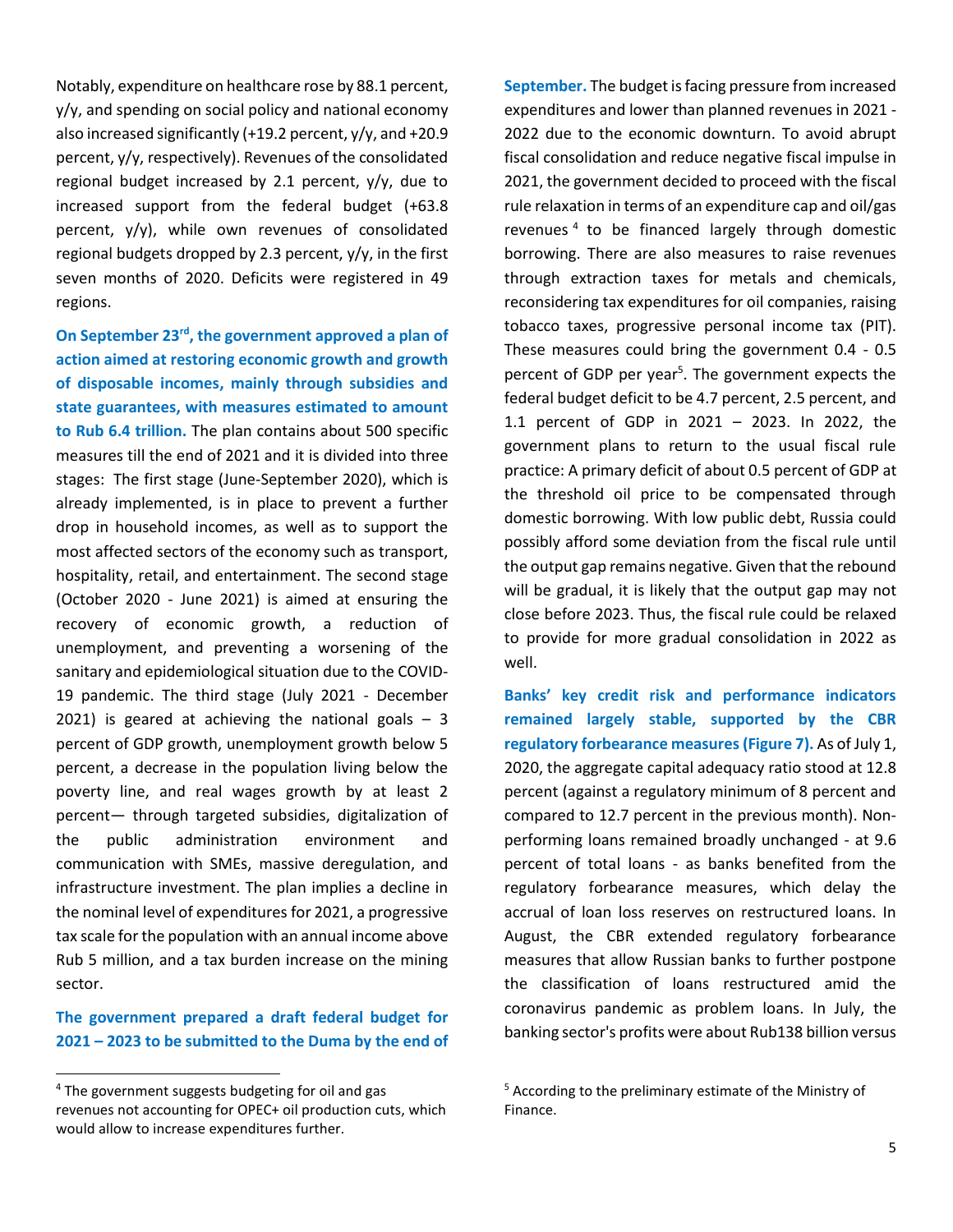Notably, expenditure on healthcare rose by 88.1 percent, y/y, and spending on social policy and national economy also increased significantly (+19.2 percent, y/y, and +20.9 percent, y/y, respectively). Revenues of the consolidated regional budget increased by 2.1 percent, y/y, due to increased support from the federal budget (+63.8 percent, y/y), while own revenues of consolidated regional budgets dropped by 2.3 percent, y/y, in the first seven months of 2020. Deficits were registered in 49 regions.

**On September 23rd, the government approved a plan of action aimed at restoring economic growth and growth of disposable incomes, mainly through subsidies and state guarantees, with measures estimated to amount to Rub 6.4 trillion.** The plan contains about 500 specific measures till the end of 2021 and it is divided into three stages: The first stage (June-September 2020), which is already implemented, is in place to prevent a further drop in household incomes, as well as to support the most affected sectors of the economy such as transport, hospitality, retail, and entertainment. The second stage (October 2020 - June 2021) is aimed at ensuring the recovery of economic growth, a reduction of unemployment, and preventing a worsening of the sanitary and epidemiological situation due to the COVID-19 pandemic. The third stage (July 2021 - December 2021) is geared at achieving the national goals  $-3$ percent of GDP growth, unemployment growth below 5 percent, a decrease in the population living below the poverty line, and real wages growth by at least 2 percent— through targeted subsidies, digitalization of the public administration environment and communication with SMEs, massive deregulation, and infrastructure investment. The plan implies a decline in the nominal level of expenditures for 2021, a progressive tax scale for the population with an annual income above Rub 5 million, and a tax burden increase on the mining sector.

# **The government prepared a draft federal budget for 2021 – 2023 to be submitted to the Duma by the end of**

**September.** The budget is facing pressure from increased expenditures and lower than planned revenues in 2021 - 2022 due to the economic downturn. To avoid abrupt fiscal consolidation and reduce negative fiscal impulse in 2021, the government decided to proceed with the fiscal rule relaxation in terms of an expenditure cap and oil/gas revenues<sup>4</sup> to be financed largely through domestic borrowing. There are also measures to raise revenues through extraction taxes for metals and chemicals, reconsidering tax expenditures for oil companies, raising tobacco taxes, progressive personal income tax (PIT). These measures could bring the government 0.4 - 0.5 percent of GDP per year<sup>5</sup>. The government expects the federal budget deficit to be 4.7 percent, 2.5 percent, and 1.1 percent of GDP in 2021 – 2023. In 2022, the government plans to return to the usual fiscal rule practice: A primary deficit of about 0.5 percent of GDP at the threshold oil price to be compensated through domestic borrowing. With low public debt, Russia could possibly afford some deviation from the fiscal rule until the output gap remains negative. Given that the rebound will be gradual, it is likely that the output gap may not close before 2023. Thus, the fiscal rule could be relaxed to provide for more gradual consolidation in 2022 as well.

**Banks' key credit risk and performance indicators remained largely stable, supported by the CBR regulatory forbearance measures (Figure 7).** As of July 1, 2020, the aggregate capital adequacy ratio stood at 12.8 percent (against a regulatory minimum of 8 percent and compared to 12.7 percent in the previous month). Nonperforming loans remained broadly unchanged - at 9.6 percent of total loans - as banks benefited from the regulatory forbearance measures, which delay the accrual of loan loss reserves on restructured loans. In August, the CBR extended regulatory forbearance measures that allow Russian banks to further postpone the classification of loans restructured amid the coronavirus pandemic as problem loans. In July, the banking sector's profits were about Rub138 billion versus

<sup>4</sup> The government suggests budgeting for oil and gas revenues not accounting for OPEC+ oil production cuts, which would allow to increase expenditures further.

<sup>&</sup>lt;sup>5</sup> According to the preliminary estimate of the Ministry of Finance.